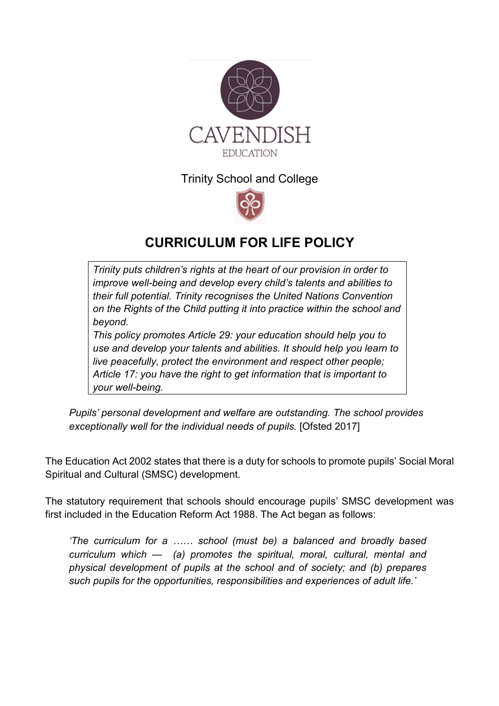

# Trinity School and College



# **CURRICULUM FOR LIFE POLICY**

*Trinity puts children's rights at the heart of our provision in order to improve well-being and develop every child's talents and abilities to their full potential. Trinity recognises the United Nations Convention on the Rights of the Child putting it into practice within the school and beyond.* 

*This policy promotes Article 29: your education should help you to use and develop your talents and abilities. It should help you learn to live peacefully, protect the environment and respect other people; Article 17: you have the right to get information that is important to your well-being.* 

*Pupils' personal development and welfare are outstanding. The school provides exceptionally well for the individual needs of pupils.* [Ofsted 2017]

The Education Act 2002 states that there is a duty for schools to promote pupils' Social Moral Spiritual and Cultural (SMSC) development.

The statutory requirement that schools should encourage pupils' SMSC development was first included in the Education Reform Act 1988. The Act began as follows:

*'The curriculum for a …… school (must be) a balanced and broadly based curriculum which — (a) promotes the spiritual, moral, cultural, mental and physical development of pupils at the school and of society; and (b) prepares such pupils for the opportunities, responsibilities and experiences of adult life.'*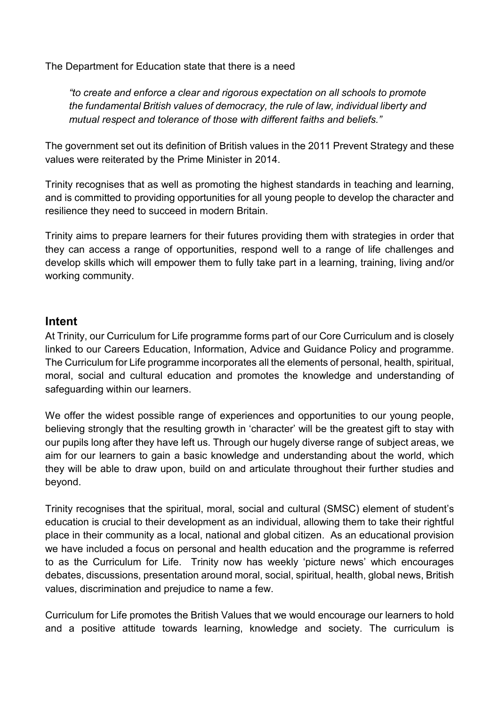The Department for Education state that there is a need

*"to create and enforce a clear and rigorous expectation on all schools to promote the fundamental British values of democracy, the rule of law, individual liberty and mutual respect and tolerance of those with different faiths and beliefs."*

The government set out its definition of British values in the 2011 Prevent Strategy and these values were reiterated by the Prime Minister in 2014.

Trinity recognises that as well as promoting the highest standards in teaching and learning, and is committed to providing opportunities for all young people to develop the character and resilience they need to succeed in modern Britain.

Trinity aims to prepare learners for their futures providing them with strategies in order that they can access a range of opportunities, respond well to a range of life challenges and develop skills which will empower them to fully take part in a learning, training, living and/or working community.

# **Intent**

At Trinity, our Curriculum for Life programme forms part of our Core Curriculum and is closely linked to our Careers Education, Information, Advice and Guidance Policy and programme. The Curriculum for Life programme incorporates all the elements of personal, health, spiritual, moral, social and cultural education and promotes the knowledge and understanding of safeguarding within our learners.

We offer the widest possible range of experiences and opportunities to our young people, believing strongly that the resulting growth in 'character' will be the greatest gift to stay with our pupils long after they have left us. Through our hugely diverse range of subject areas, we aim for our learners to gain a basic knowledge and understanding about the world, which they will be able to draw upon, build on and articulate throughout their further studies and beyond.

Trinity recognises that the spiritual, moral, social and cultural (SMSC) element of student's education is crucial to their development as an individual, allowing them to take their rightful place in their community as a local, national and global citizen. As an educational provision we have included a focus on personal and health education and the programme is referred to as the Curriculum for Life. Trinity now has weekly 'picture news' which encourages debates, discussions, presentation around moral, social, spiritual, health, global news, British values, discrimination and prejudice to name a few.

Curriculum for Life promotes the British Values that we would encourage our learners to hold and a positive attitude towards learning, knowledge and society. The curriculum is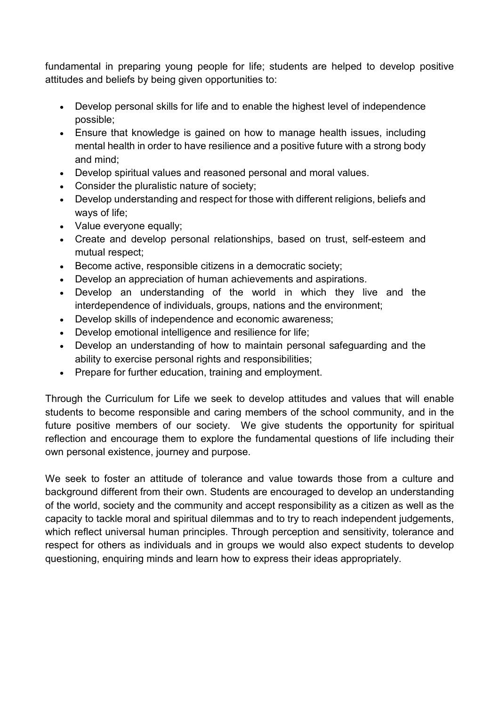fundamental in preparing young people for life; students are helped to develop positive attitudes and beliefs by being given opportunities to:

- Develop personal skills for life and to enable the highest level of independence possible;
- Ensure that knowledge is gained on how to manage health issues, including mental health in order to have resilience and a positive future with a strong body and mind;
- Develop spiritual values and reasoned personal and moral values.
- Consider the pluralistic nature of society;
- Develop understanding and respect for those with different religions, beliefs and ways of life;
- Value everyone equally;
- Create and develop personal relationships, based on trust, self-esteem and mutual respect;
- Become active, responsible citizens in a democratic society;
- Develop an appreciation of human achievements and aspirations.
- Develop an understanding of the world in which they live and the interdependence of individuals, groups, nations and the environment;
- Develop skills of independence and economic awareness;
- Develop emotional intelligence and resilience for life;
- Develop an understanding of how to maintain personal safeguarding and the ability to exercise personal rights and responsibilities;
- Prepare for further education, training and employment.

Through the Curriculum for Life we seek to develop attitudes and values that will enable students to become responsible and caring members of the school community, and in the future positive members of our society. We give students the opportunity for spiritual reflection and encourage them to explore the fundamental questions of life including their own personal existence, journey and purpose.

We seek to foster an attitude of tolerance and value towards those from a culture and background different from their own. Students are encouraged to develop an understanding of the world, society and the community and accept responsibility as a citizen as well as the capacity to tackle moral and spiritual dilemmas and to try to reach independent judgements, which reflect universal human principles. Through perception and sensitivity, tolerance and respect for others as individuals and in groups we would also expect students to develop questioning, enquiring minds and learn how to express their ideas appropriately.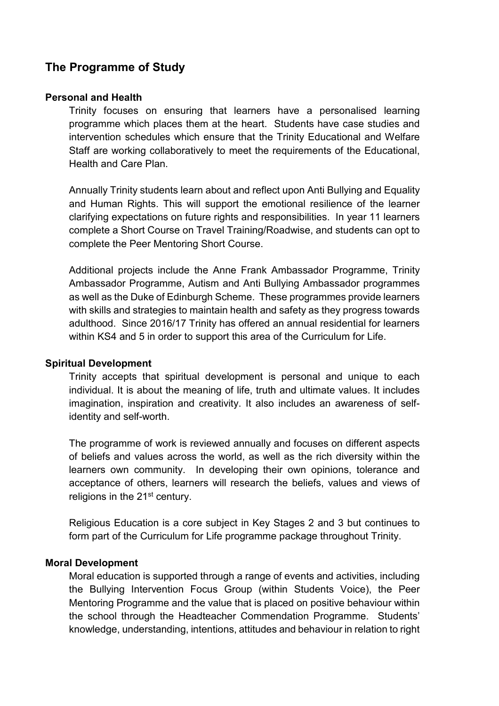# **The Programme of Study**

#### **Personal and Health**

Trinity focuses on ensuring that learners have a personalised learning programme which places them at the heart. Students have case studies and intervention schedules which ensure that the Trinity Educational and Welfare Staff are working collaboratively to meet the requirements of the Educational, Health and Care Plan.

Annually Trinity students learn about and reflect upon Anti Bullying and Equality and Human Rights. This will support the emotional resilience of the learner clarifying expectations on future rights and responsibilities. In year 11 learners complete a Short Course on Travel Training/Roadwise, and students can opt to complete the Peer Mentoring Short Course.

Additional projects include the Anne Frank Ambassador Programme, Trinity Ambassador Programme, Autism and Anti Bullying Ambassador programmes as well as the Duke of Edinburgh Scheme. These programmes provide learners with skills and strategies to maintain health and safety as they progress towards adulthood. Since 2016/17 Trinity has offered an annual residential for learners within KS4 and 5 in order to support this area of the Curriculum for Life.

#### **Spiritual Development**

Trinity accepts that spiritual development is personal and unique to each individual. It is about the meaning of life, truth and ultimate values. It includes imagination, inspiration and creativity. It also includes an awareness of selfidentity and self-worth.

The programme of work is reviewed annually and focuses on different aspects of beliefs and values across the world, as well as the rich diversity within the learners own community. In developing their own opinions, tolerance and acceptance of others, learners will research the beliefs, values and views of religions in the 21<sup>st</sup> century.

Religious Education is a core subject in Key Stages 2 and 3 but continues to form part of the Curriculum for Life programme package throughout Trinity.

#### **Moral Development**

Moral education is supported through a range of events and activities, including the Bullying Intervention Focus Group (within Students Voice), the Peer Mentoring Programme and the value that is placed on positive behaviour within the school through the Headteacher Commendation Programme. Students' knowledge, understanding, intentions, attitudes and behaviour in relation to right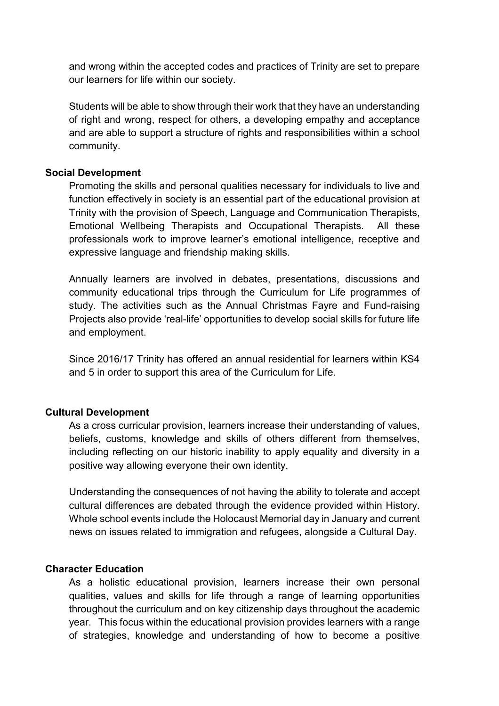and wrong within the accepted codes and practices of Trinity are set to prepare our learners for life within our society.

Students will be able to show through their work that they have an understanding of right and wrong, respect for others, a developing empathy and acceptance and are able to support a structure of rights and responsibilities within a school community.

#### **Social Development**

Promoting the skills and personal qualities necessary for individuals to live and function effectively in society is an essential part of the educational provision at Trinity with the provision of Speech, Language and Communication Therapists, Emotional Wellbeing Therapists and Occupational Therapists. All these professionals work to improve learner's emotional intelligence, receptive and expressive language and friendship making skills.

Annually learners are involved in debates, presentations, discussions and community educational trips through the Curriculum for Life programmes of study. The activities such as the Annual Christmas Fayre and Fund-raising Projects also provide 'real-life' opportunities to develop social skills for future life and employment.

Since 2016/17 Trinity has offered an annual residential for learners within KS4 and 5 in order to support this area of the Curriculum for Life.

#### **Cultural Development**

As a cross curricular provision, learners increase their understanding of values, beliefs, customs, knowledge and skills of others different from themselves, including reflecting on our historic inability to apply equality and diversity in a positive way allowing everyone their own identity.

Understanding the consequences of not having the ability to tolerate and accept cultural differences are debated through the evidence provided within History. Whole school events include the Holocaust Memorial day in January and current news on issues related to immigration and refugees, alongside a Cultural Day.

#### **Character Education**

As a holistic educational provision, learners increase their own personal qualities, values and skills for life through a range of learning opportunities throughout the curriculum and on key citizenship days throughout the academic year. This focus within the educational provision provides learners with a range of strategies, knowledge and understanding of how to become a positive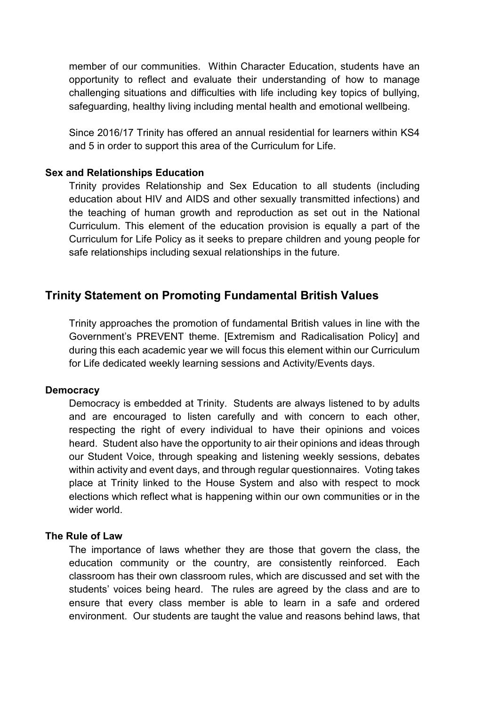member of our communities. Within Character Education, students have an opportunity to reflect and evaluate their understanding of how to manage challenging situations and difficulties with life including key topics of bullying, safeguarding, healthy living including mental health and emotional wellbeing.

Since 2016/17 Trinity has offered an annual residential for learners within KS4 and 5 in order to support this area of the Curriculum for Life.

#### **Sex and Relationships Education**

Trinity provides Relationship and Sex Education to all students (including education about HIV and AIDS and other sexually transmitted infections) and the teaching of human growth and reproduction as set out in the National Curriculum. This element of the education provision is equally a part of the Curriculum for Life Policy as it seeks to prepare children and young people for safe relationships including sexual relationships in the future.

# **Trinity Statement on Promoting Fundamental British Values**

Trinity approaches the promotion of fundamental British values in line with the Government's PREVENT theme. [Extremism and Radicalisation Policy] and during this each academic year we will focus this element within our Curriculum for Life dedicated weekly learning sessions and Activity/Events days.

#### **Democracy**

Democracy is embedded at Trinity. Students are always listened to by adults and are encouraged to listen carefully and with concern to each other, respecting the right of every individual to have their opinions and voices heard. Student also have the opportunity to air their opinions and ideas through our Student Voice, through speaking and listening weekly sessions, debates within activity and event days, and through regular questionnaires. Voting takes place at Trinity linked to the House System and also with respect to mock elections which reflect what is happening within our own communities or in the wider world.

#### **The Rule of Law**

The importance of laws whether they are those that govern the class, the education community or the country, are consistently reinforced. Each classroom has their own classroom rules, which are discussed and set with the students' voices being heard. The rules are agreed by the class and are to ensure that every class member is able to learn in a safe and ordered environment. Our students are taught the value and reasons behind laws, that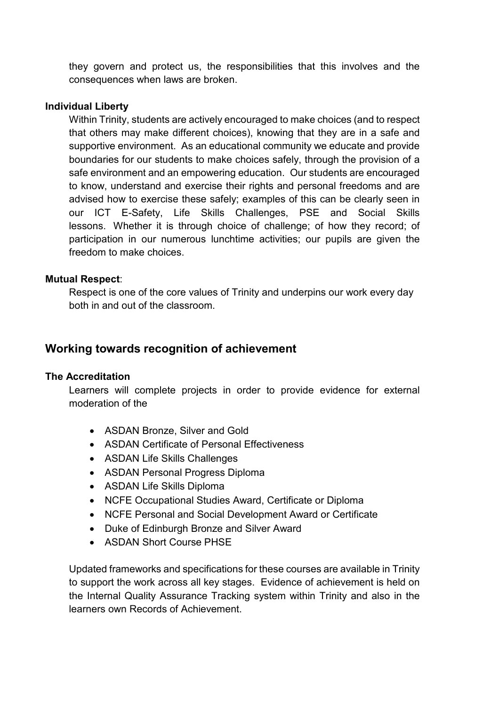they govern and protect us, the responsibilities that this involves and the consequences when laws are broken.

#### **Individual Liberty**

Within Trinity, students are actively encouraged to make choices (and to respect that others may make different choices), knowing that they are in a safe and supportive environment. As an educational community we educate and provide boundaries for our students to make choices safely, through the provision of a safe environment and an empowering education. Our students are encouraged to know, understand and exercise their rights and personal freedoms and are advised how to exercise these safely; examples of this can be clearly seen in our ICT E-Safety, Life Skills Challenges, PSE and Social Skills lessons. Whether it is through choice of challenge; of how they record; of participation in our numerous lunchtime activities; our pupils are given the freedom to make choices.

#### **Mutual Respect**:

Respect is one of the core values of Trinity and underpins our work every day both in and out of the classroom.

# **Working towards recognition of achievement**

#### **The Accreditation**

Learners will complete projects in order to provide evidence for external moderation of the

- ASDAN Bronze, Silver and Gold
- ASDAN Certificate of Personal Effectiveness
- ASDAN Life Skills Challenges
- ASDAN Personal Progress Diploma
- ASDAN Life Skills Diploma
- NCFE Occupational Studies Award, Certificate or Diploma
- NCFE Personal and Social Development Award or Certificate
- Duke of Edinburgh Bronze and Silver Award
- **ASDAN Short Course PHSF**

Updated frameworks and specifications for these courses are available in Trinity to support the work across all key stages. Evidence of achievement is held on the Internal Quality Assurance Tracking system within Trinity and also in the learners own Records of Achievement.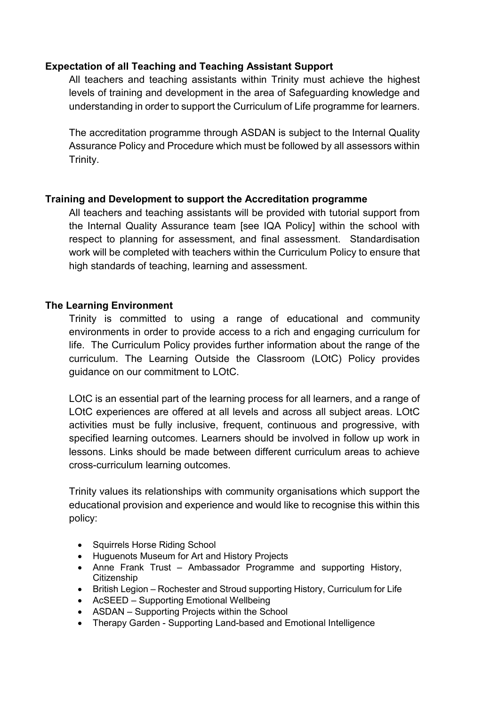### **Expectation of all Teaching and Teaching Assistant Support**

All teachers and teaching assistants within Trinity must achieve the highest levels of training and development in the area of Safeguarding knowledge and understanding in order to support the Curriculum of Life programme for learners.

The accreditation programme through ASDAN is subject to the Internal Quality Assurance Policy and Procedure which must be followed by all assessors within Trinity.

#### **Training and Development to support the Accreditation programme**

All teachers and teaching assistants will be provided with tutorial support from the Internal Quality Assurance team [see IQA Policy] within the school with respect to planning for assessment, and final assessment. Standardisation work will be completed with teachers within the Curriculum Policy to ensure that high standards of teaching, learning and assessment.

### **The Learning Environment**

Trinity is committed to using a range of educational and community environments in order to provide access to a rich and engaging curriculum for life. The Curriculum Policy provides further information about the range of the curriculum. The Learning Outside the Classroom (LOtC) Policy provides guidance on our commitment to LOtC.

LOtC is an essential part of the learning process for all learners, and a range of LOtC experiences are offered at all levels and across all subject areas. LOtC activities must be fully inclusive, frequent, continuous and progressive, with specified learning outcomes. Learners should be involved in follow up work in lessons. Links should be made between different curriculum areas to achieve cross-curriculum learning outcomes.

Trinity values its relationships with community organisations which support the educational provision and experience and would like to recognise this within this policy:

- Squirrels Horse Riding School
- Huguenots Museum for Art and History Projects
- Anne Frank Trust Ambassador Programme and supporting History, **Citizenship**
- British Legion Rochester and Stroud supporting History, Curriculum for Life
- AcSEED Supporting Emotional Wellbeing
- ASDAN Supporting Projects within the School
- Therapy Garden Supporting Land-based and Emotional Intelligence